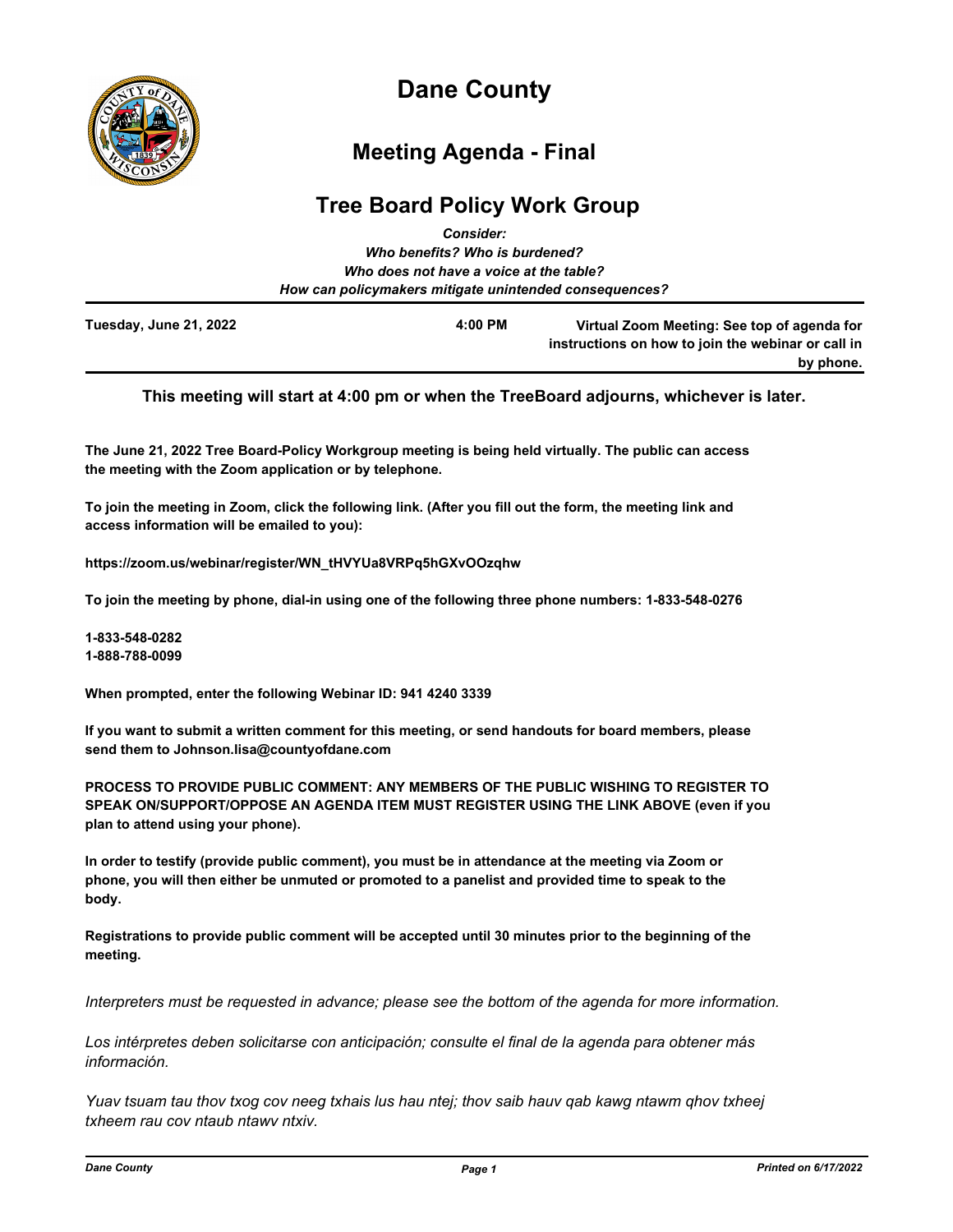

# **Dane County**

## **Meeting Agenda - Final**

### **Tree Board Policy Work Group** *Consider:*

|                        | ---------                                              |                                                                                                   |
|------------------------|--------------------------------------------------------|---------------------------------------------------------------------------------------------------|
|                        | Who benefits? Who is burdened?                         |                                                                                                   |
|                        | Who does not have a voice at the table?                |                                                                                                   |
|                        | How can policymakers mitigate unintended consequences? |                                                                                                   |
| Tuesday, June 21, 2022 | 4:00 PM                                                | Virtual Zoom Meeting: See top of agenda for<br>instructions on how to join the webinar or call in |
|                        |                                                        | by phone.                                                                                         |

#### **This meeting will start at 4:00 pm or when the TreeBoard adjourns, whichever is later.**

**The June 21, 2022 Tree Board-Policy Workgroup meeting is being held virtually. The public can access the meeting with the Zoom application or by telephone.**

**To join the meeting in Zoom, click the following link. (After you fill out the form, the meeting link and access information will be emailed to you):**

**https://zoom.us/webinar/register/WN\_tHVYUa8VRPq5hGXvOOzqhw**

**To join the meeting by phone, dial-in using one of the following three phone numbers: 1-833-548-0276**

**1-833-548-0282 1-888-788-0099**

**When prompted, enter the following Webinar ID: 941 4240 3339**

**If you want to submit a written comment for this meeting, or send handouts for board members, please send them to Johnson.lisa@countyofdane.com**

**PROCESS TO PROVIDE PUBLIC COMMENT: ANY MEMBERS OF THE PUBLIC WISHING TO REGISTER TO SPEAK ON/SUPPORT/OPPOSE AN AGENDA ITEM MUST REGISTER USING THE LINK ABOVE (even if you plan to attend using your phone).**

**In order to testify (provide public comment), you must be in attendance at the meeting via Zoom or phone, you will then either be unmuted or promoted to a panelist and provided time to speak to the body.**

**Registrations to provide public comment will be accepted until 30 minutes prior to the beginning of the meeting.**

*Interpreters must be requested in advance; please see the bottom of the agenda for more information.*

*Los intérpretes deben solicitarse con anticipación; consulte el final de la agenda para obtener más información.*

*Yuav tsuam tau thov txog cov neeg txhais lus hau ntej; thov saib hauv qab kawg ntawm qhov txheej txheem rau cov ntaub ntawv ntxiv.*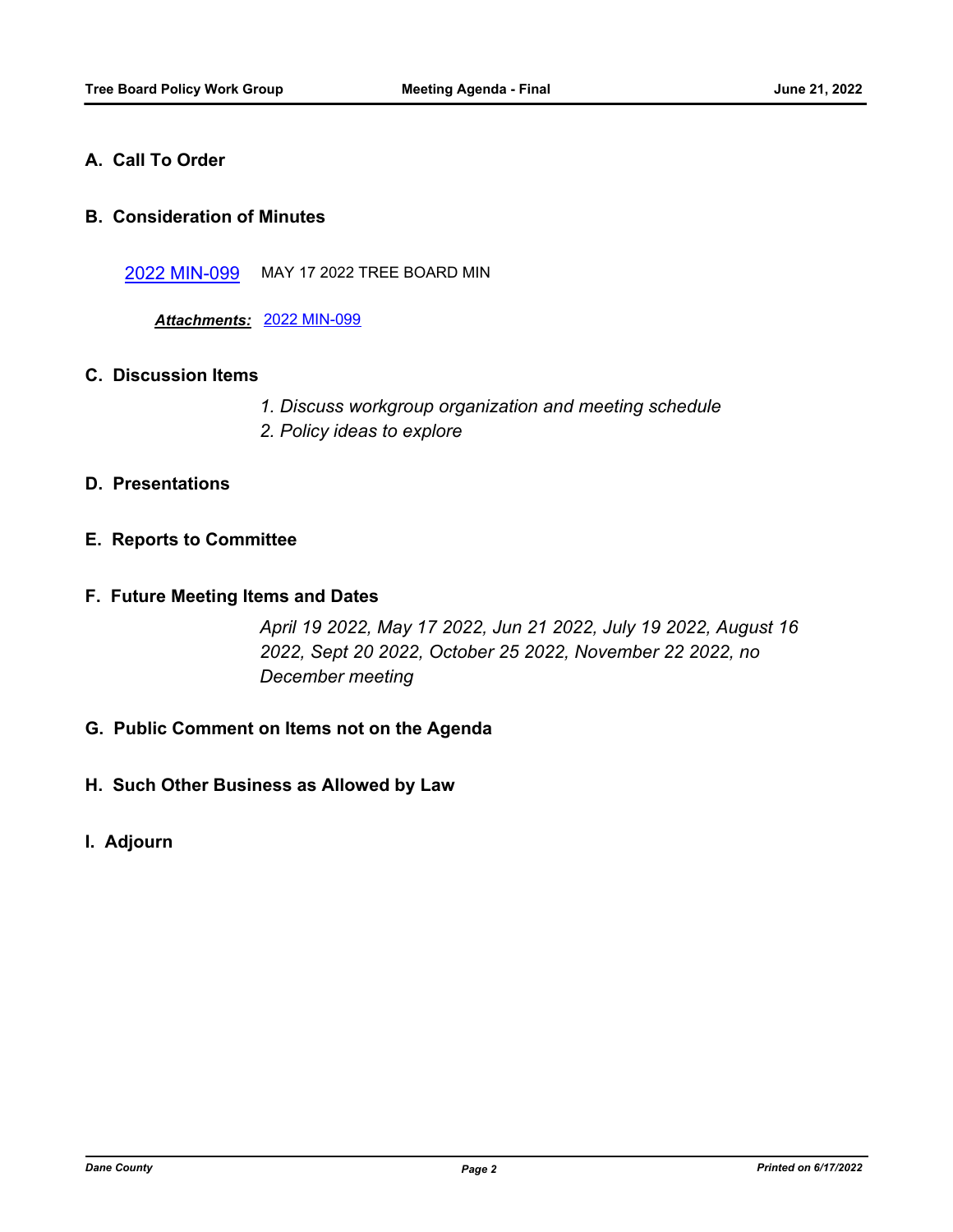#### **A. Call To Order**

#### **B. Consideration of Minutes**

[2022 MIN-099](http://dane.legistar.com/gateway.aspx?m=l&id=/matter.aspx?key=23042) MAY 17 2022 TREE BOARD MIN

*Attachments:* [2022 MIN-099](http://dane.legistar.com/gateway.aspx?M=F&ID=57ba7d5e-11b8-43e9-bfe6-812b92531063.pdf)

#### **C. Discussion Items**

- *1. Discuss workgroup organization and meeting schedule*
- *2. Policy ideas to explore*

#### **D. Presentations**

#### **E. Reports to Committee**

#### **F. Future Meeting Items and Dates**

*April 19 2022, May 17 2022, Jun 21 2022, July 19 2022, August 16 2022, Sept 20 2022, October 25 2022, November 22 2022, no December meeting*

- **G. Public Comment on Items not on the Agenda**
- **H. Such Other Business as Allowed by Law**
- **I. Adjourn**